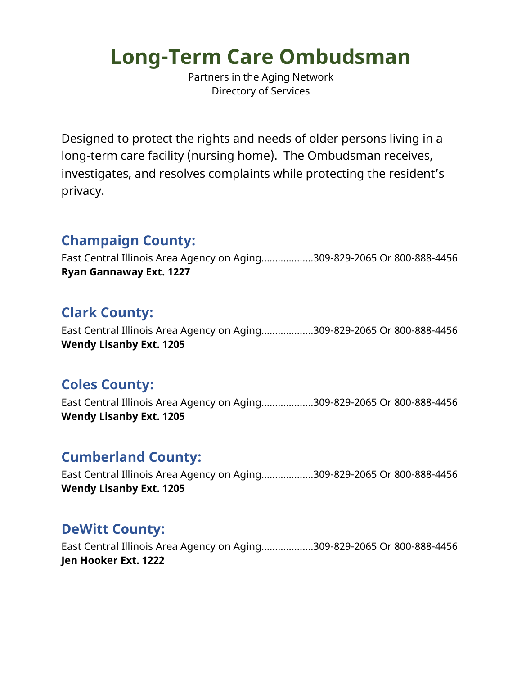# **Long-Term Care Ombudsman**

Partners in the Aging Network Directory of Services

Designed to protect the rights and needs of older persons living in a long-term care facility (nursing home). The Ombudsman receives, investigates, and resolves complaints while protecting the resident's privacy.

## **Champaign County:**

East Central Illinois Area Agency on Aging……………….309-829-2065 Or 800-888-4456 **Ryan Gannaway Ext. 1227**

### **Clark County:**

East Central Illinois Area Agency on Aging……………….309-829-2065 Or 800-888-4456 **Wendy Lisanby Ext. 1205**

## **Coles County:**

East Central Illinois Area Agency on Aging……………….309-829-2065 Or 800-888-4456 **Wendy Lisanby Ext. 1205**

## **Cumberland County:**

East Central Illinois Area Agency on Aging……………….309-829-2065 Or 800-888-4456 **Wendy Lisanby Ext. 1205**

## **DeWitt County:**

East Central Illinois Area Agency on Aging……………….309-829-2065 Or 800-888-4456 **Jen Hooker Ext. 1222**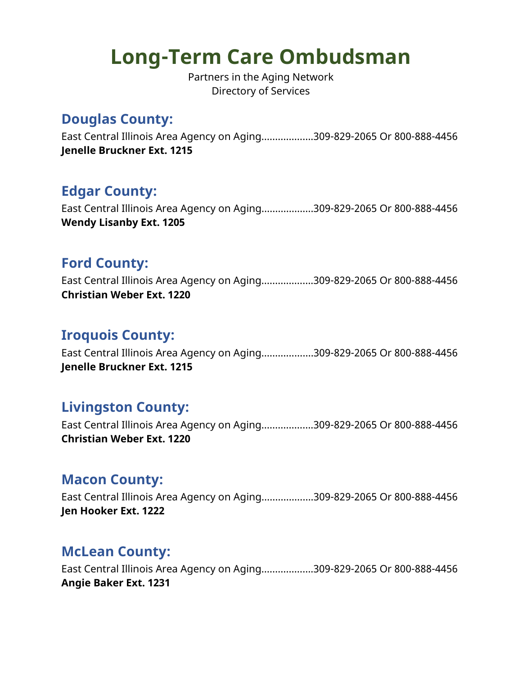## **Long-Term Care Ombudsman**

Partners in the Aging Network Directory of Services

### **Douglas County:**

East Central Illinois Area Agency on Aging……………….309-829-2065 Or 800-888-4456 **Jenelle Bruckner Ext. 1215**

## **Edgar County:**

East Central Illinois Area Agency on Aging……………….309-829-2065 Or 800-888-4456 **Wendy Lisanby Ext. 1205**

#### **Ford County:**

East Central Illinois Area Agency on Aging……………….309-829-2065 Or 800-888-4456 **Christian Weber Ext. 1220**

#### **Iroquois County:**

East Central Illinois Area Agency on Aging……………….309-829-2065 Or 800-888-4456 **Jenelle Bruckner Ext. 1215**

#### **Livingston County:**

East Central Illinois Area Agency on Aging……………….309-829-2065 Or 800-888-4456 **Christian Weber Ext. 1220**

#### **Macon County:**

East Central Illinois Area Agency on Aging……………….309-829-2065 Or 800-888-4456 **Jen Hooker Ext. 1222**

#### **McLean County:**

East Central Illinois Area Agency on Aging……………….309-829-2065 Or 800-888-4456 **Angie Baker Ext. 1231**